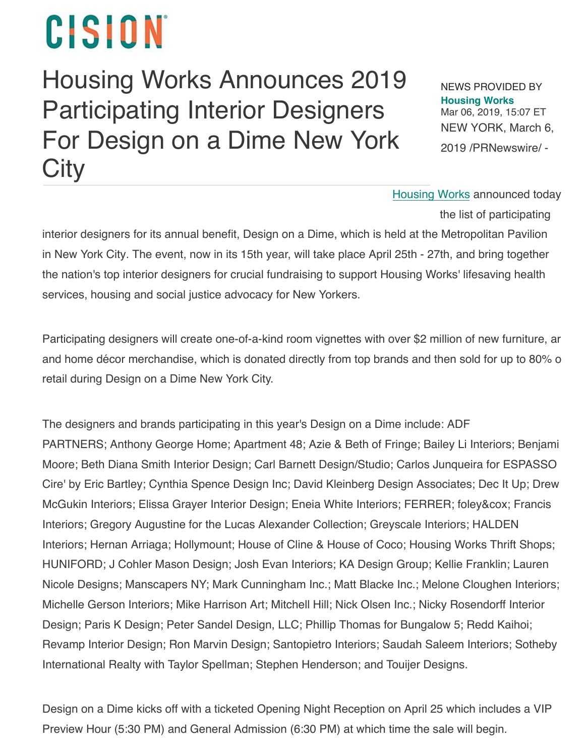## CISION

## [Housin](https://www.prnewswire.com/)g Works Announces 2019 Participating Interior Designers For Design on a Dime New York **City**

NEWS PROVIDED BY **[Housing Works](https://www.prnewswire.com/news/housing-works)** Mar 06, 2019, 15:07 ET NEW YORK, March 6, 2019 /PRNewswire/ -

Housing [Works ann](https://c212.net/c/link/?t=0&l=en&o=2395795-1&h=1794087366&u=https%3A%2F%2Fwww.housingworks.org%2F&a=Housing+Works)ounced today

the list of participating

interior designers for its annual benefit, Design on a Dime, which is held at the Metropolitan Pavilion in New York City. The event, now in its 15th year, will take place April 25th - 27th, and bring together the nation's top interior designers for crucial fundraising to support Housing Works' lifesaving health services, housing and social justice advocacy for New Yorkers.

Participating designers will create one-of-a-kind room vignettes with over \$2 million of new furniture, ar and home décor merchandise, which is donated directly from top brands and then sold for up to 80% o retail during Design on a Dime New York City.

The designers and brands participating in this year's Design on a Dime include: ADF PARTNERS; Anthony George Home; Apartment 48; Azie & Beth of Fringe; Bailey Li Interiors; Benjami Moore; Beth Diana Smith Interior Design; Carl Barnett Design/Studio; Carlos Junqueira for ESPASSO Cire' by Eric Bartley; Cynthia Spence Design Inc; David Kleinberg Design Associates; Dec It Up; Drew McGukin Interiors; Elissa Grayer Interior Design; Eneia White Interiors; FERRER; foley&cox; Francis Interiors; Gregory Augustine for the Lucas Alexander Collection; Greyscale Interiors; HALDEN Interiors; Hernan Arriaga; Hollymount; House of Cline & House of Coco; Housing Works Thrift Shops; HUNIFORD; J Cohler Mason Design; Josh Evan Interiors; KA Design Group; Kellie Franklin; Lauren Nicole Designs; Manscapers NY; Mark Cunningham Inc.; Matt Blacke Inc.; Melone Cloughen Interiors; Michelle Gerson Interiors; Mike Harrison Art; Mitchell Hill; Nick Olsen Inc.; Nicky Rosendorff Interior Design; Paris K Design; Peter Sandel Design, LLC; Phillip Thomas for Bungalow 5; Redd Kaihoi; Revamp Interior Design; Ron Marvin Design; Santopietro Interiors; Saudah Saleem Interiors; Sotheby International Realty with Taylor Spellman; Stephen Henderson; and Touijer Designs.

Design on a Dime kicks off with a ticketed Opening Night Reception on April 25 which includes a VIP Preview Hour (5:30 PM) and General Admission (6:30 PM) at which time the sale will begin.